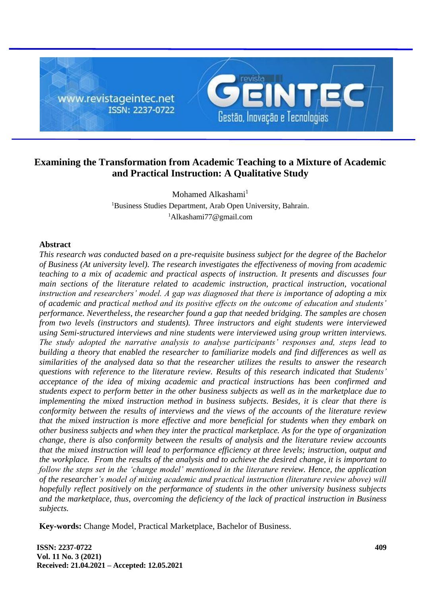

# **Examining the Transformation from Academic Teaching to a Mixture of Academic and Practical Instruction: A Qualitative Study**

Mohamed Alkashami $<sup>1</sup>$ </sup> <sup>1</sup>Business Studies Department, Arab Open University, Bahrain. <sup>1</sup>Alkashami77@gmail.com

# **Abstract**

*This research was conducted based on a pre-requisite business subject for the degree of the Bachelor of Business (At university level). The research investigates the effectiveness of moving from academic teaching to a mix of academic and practical aspects of instruction. It presents and discusses four main sections of the literature related to academic instruction, practical instruction, vocational instruction and researchers' model. A gap was diagnosed that there is importance of adopting a mix of academic and practical method and its positive effects on the outcome of education and students' performance. Nevertheless, the researcher found a gap that needed bridging. The samples are chosen from two levels (instructors and students). Three instructors and eight students were interviewed using Semi-structured interviews and nine students were interviewed using group written interviews. The study adopted the narrative analysis to analyse participants' responses and, steps lead to building a theory that enabled the researcher to familiarize models and find differences as well as similarities of the analysed data so that the researcher utilizes the results to answer the research questions with reference to the literature review. Results of this research indicated that Students' acceptance of the idea of mixing academic and practical instructions has been confirmed and students expect to perform better in the other business subjects as well as in the marketplace due to implementing the mixed instruction method in business subjects. Besides, it is clear that there is conformity between the results of interviews and the views of the accounts of the literature review that the mixed instruction is more effective and more beneficial for students when they embark on other business subjects and when they inter the practical marketplace. As for the type of organization change, there is also conformity between the results of analysis and the literature review accounts that the mixed instruction will lead to performance efficiency at three levels; instruction, output and the workplace. From the results of the analysis and to achieve the desired change, it is important to follow the steps set in the 'change model' mentioned in the literature review. Hence, the application of the researcher's model of mixing academic and practical instruction (literature review above) will hopefully reflect positively on the performance of students in the other university business subjects and the marketplace, thus, overcoming the deficiency of the lack of practical instruction in Business subjects.*

**Key-words:** Change Model, Practical Marketplace, Bachelor of Business.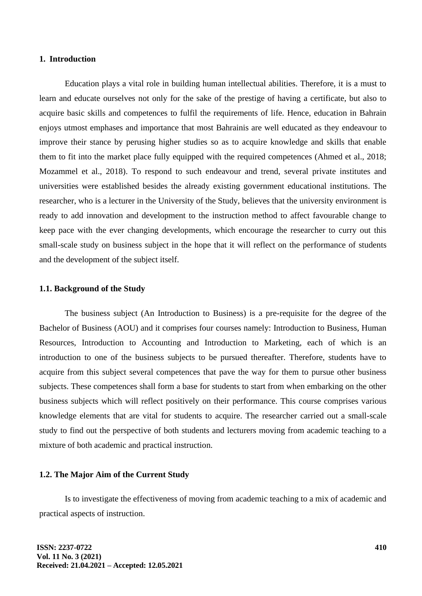### **1. Introduction**

Education plays a vital role in building human intellectual abilities. Therefore, it is a must to learn and educate ourselves not only for the sake of the prestige of having a certificate, but also to acquire basic skills and competences to fulfil the requirements of life. Hence, education in Bahrain enjoys utmost emphases and importance that most Bahrainis are well educated as they endeavour to improve their stance by perusing higher studies so as to acquire knowledge and skills that enable them to fit into the market place fully equipped with the required competences (Ahmed et al., 2018; Mozammel et al., 2018). To respond to such endeavour and trend, several private institutes and universities were established besides the already existing government educational institutions. The researcher, who is a lecturer in the University of the Study, believes that the university environment is ready to add innovation and development to the instruction method to affect favourable change to keep pace with the ever changing developments, which encourage the researcher to curry out this small-scale study on business subject in the hope that it will reflect on the performance of students and the development of the subject itself.

### **1.1. Background of the Study**

The business subject (An Introduction to Business) is a pre-requisite for the degree of the Bachelor of Business (AOU) and it comprises four courses namely: Introduction to Business, Human Resources, Introduction to Accounting and Introduction to Marketing, each of which is an introduction to one of the business subjects to be pursued thereafter. Therefore, students have to acquire from this subject several competences that pave the way for them to pursue other business subjects. These competences shall form a base for students to start from when embarking on the other business subjects which will reflect positively on their performance. This course comprises various knowledge elements that are vital for students to acquire. The researcher carried out a small-scale study to find out the perspective of both students and lecturers moving from academic teaching to a mixture of both academic and practical instruction.

#### **1.2. The Major Aim of the Current Study**

Is to investigate the effectiveness of moving from academic teaching to a mix of academic and practical aspects of instruction.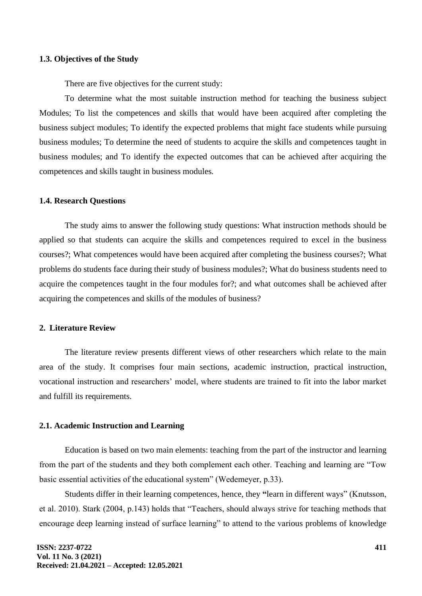### **1.3. Objectives of the Study**

There are five objectives for the current study:

To determine what the most suitable instruction method for teaching the business subject Modules; To list the competences and skills that would have been acquired after completing the business subject modules; To identify the expected problems that might face students while pursuing business modules; To determine the need of students to acquire the skills and competences taught in business modules; and To identify the expected outcomes that can be achieved after acquiring the competences and skills taught in business modules.

### **1.4. Research Questions**

The study aims to answer the following study questions: What instruction methods should be applied so that students can acquire the skills and competences required to excel in the business courses?; What competences would have been acquired after completing the business courses?; What problems do students face during their study of business modules?; What do business students need to acquire the competences taught in the four modules for?; and what outcomes shall be achieved after acquiring the competences and skills of the modules of business?

#### **2. Literature Review**

The literature review presents different views of other researchers which relate to the main area of the study. It comprises four main sections, academic instruction, practical instruction, vocational instruction and researchers' model, where students are trained to fit into the labor market and fulfill its requirements.

### **2.1. Academic Instruction and Learning**

Education is based on two main elements: teaching from the part of the instructor and learning from the part of the students and they both complement each other. Teaching and learning are "Tow basic essential activities of the educational system" (Wedemeyer, p.33).

Students differ in their learning competences, hence, they **"**learn in different ways" (Knutsson, et al. 2010). Stark (2004, p.143) holds that "Teachers, should always strive for teaching methods that encourage deep learning instead of surface learning" to attend to the various problems of knowledge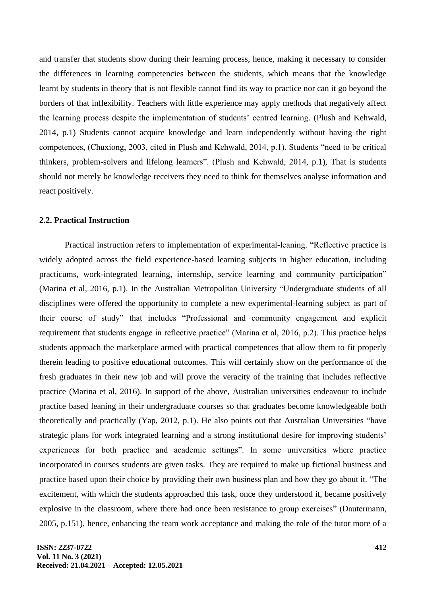and transfer that students show during their learning process, hence, making it necessary to consider the differences in learning competencies between the students, which means that the knowledge learnt by students in theory that is not flexible cannot find its way to practice nor can it go beyond the borders of that inflexibility. Teachers with little experience may apply methods that negatively affect the learning process despite the implementation of students' centred learning. (Plush and Kehwald, 2014, p.1) Students cannot acquire knowledge and learn independently without having the right competences, (Chuxiong, 2003, cited in Plush and Kehwald, 2014, p.1). Students "need to be critical thinkers, problem-solvers and lifelong learners". (Plush and Kehwald, 2014, p.1), That is students should not merely be knowledge receivers they need to think for themselves analyse information and react positively.

# **2.2. Practical Instruction**

Practical instruction refers to implementation of experimental-leaning. "Reflective practice is widely adopted across the field experience-based learning subjects in higher education, including practicums, work-integrated learning, internship, service learning and community participation" (Marina et al, 2016, p.1). In the Australian Metropolitan University "Undergraduate students of all disciplines were offered the opportunity to complete a new experimental-learning subject as part of their course of study" that includes "Professional and community engagement and explicit requirement that students engage in reflective practice" (Marina et al, 2016, p.2). This practice helps students approach the marketplace armed with practical competences that allow them to fit properly therein leading to positive educational outcomes. This will certainly show on the performance of the fresh graduates in their new job and will prove the veracity of the training that includes reflective practice (Marina et al, 2016). In support of the above, Australian universities endeavour to include practice based leaning in their undergraduate courses so that graduates become knowledgeable both theoretically and practically (Yap, 2012, p.1). He also points out that Australian Universities "have strategic plans for work integrated learning and a strong institutional desire for improving students' experiences for both practice and academic settings". In some universities where practice incorporated in courses students are given tasks. They are required to make up fictional business and practice based upon their choice by providing their own business plan and how they go about it. "The excitement, with which the students approached this task, once they understood it, became positively explosive in the classroom, where there had once been resistance to group exercises" (Dautermann, 2005, p.151), hence, enhancing the team work acceptance and making the role of the tutor more of a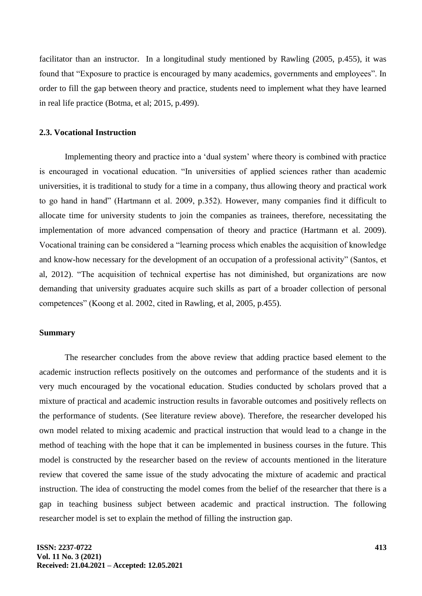facilitator than an instructor. In a longitudinal study mentioned by Rawling (2005, p.455), it was found that "Exposure to practice is encouraged by many academics, governments and employees". In order to fill the gap between theory and practice, students need to implement what they have learned in real life practice (Botma, et al; 2015, p.499).

# **2.3. Vocational Instruction**

Implementing theory and practice into a 'dual system' where theory is combined with practice is encouraged in vocational education. "In universities of applied sciences rather than academic universities, it is traditional to study for a time in a company, thus allowing theory and practical work to go hand in hand" (Hartmann et al. 2009, p.352). However, many companies find it difficult to allocate time for university students to join the companies as trainees, therefore, necessitating the implementation of more advanced compensation of theory and practice (Hartmann et al. 2009). Vocational training can be considered a "learning process which enables the acquisition of knowledge and know-how necessary for the development of an occupation of a professional activity" (Santos, et al, 2012). "The acquisition of technical expertise has not diminished, but organizations are now demanding that university graduates acquire such skills as part of a broader collection of personal competences" (Koong et al. 2002, cited in Rawling, et al, 2005, p.455).

### **Summary**

The researcher concludes from the above review that adding practice based element to the academic instruction reflects positively on the outcomes and performance of the students and it is very much encouraged by the vocational education. Studies conducted by scholars proved that a mixture of practical and academic instruction results in favorable outcomes and positively reflects on the performance of students. (See literature review above). Therefore, the researcher developed his own model related to mixing academic and practical instruction that would lead to a change in the method of teaching with the hope that it can be implemented in business courses in the future. This model is constructed by the researcher based on the review of accounts mentioned in the literature review that covered the same issue of the study advocating the mixture of academic and practical instruction. The idea of constructing the model comes from the belief of the researcher that there is a gap in teaching business subject between academic and practical instruction. The following researcher model is set to explain the method of filling the instruction gap.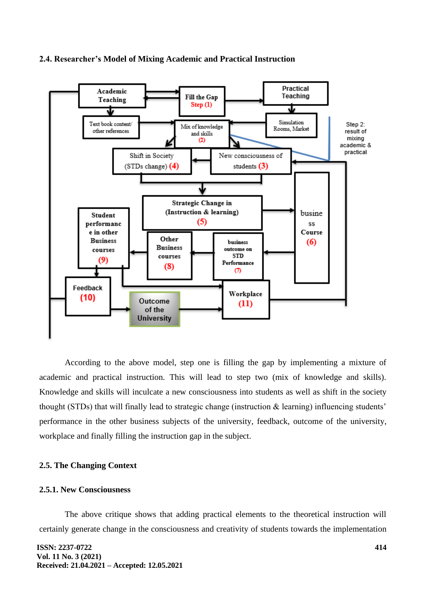### **2.4. Researcher's Model of Mixing Academic and Practical Instruction**



According to the above model, step one is filling the gap by implementing a mixture of academic and practical instruction. This will lead to step two (mix of knowledge and skills). Knowledge and skills will inculcate a new consciousness into students as well as shift in the society thought (STDs) that will finally lead to strategic change (instruction & learning) influencing students' performance in the other business subjects of the university, feedback, outcome of the university, workplace and finally filling the instruction gap in the subject.

# **2.5. The Changing Context**

# **2.5.1. New Consciousness**

The above critique shows that adding practical elements to the theoretical instruction will certainly generate change in the consciousness and creativity of students towards the implementation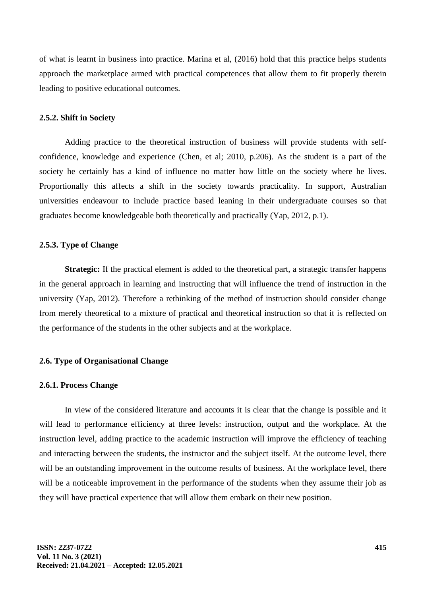of what is learnt in business into practice. Marina et al, (2016) hold that this practice helps students approach the marketplace armed with practical competences that allow them to fit properly therein leading to positive educational outcomes.

### **2.5.2. Shift in Society**

Adding practice to the theoretical instruction of business will provide students with selfconfidence, knowledge and experience (Chen, et al; 2010, p.206). As the student is a part of the society he certainly has a kind of influence no matter how little on the society where he lives. Proportionally this affects a shift in the society towards practicality. In support, Australian universities endeavour to include practice based leaning in their undergraduate courses so that graduates become knowledgeable both theoretically and practically (Yap, 2012, p.1).

# **2.5.3. Type of Change**

**Strategic:** If the practical element is added to the theoretical part, a strategic transfer happens in the general approach in learning and instructing that will influence the trend of instruction in the university (Yap, 2012). Therefore a rethinking of the method of instruction should consider change from merely theoretical to a mixture of practical and theoretical instruction so that it is reflected on the performance of the students in the other subjects and at the workplace.

# **2.6. Type of Organisational Change**

#### **2.6.1. Process Change**

In view of the considered literature and accounts it is clear that the change is possible and it will lead to performance efficiency at three levels: instruction, output and the workplace. At the instruction level, adding practice to the academic instruction will improve the efficiency of teaching and interacting between the students, the instructor and the subject itself. At the outcome level, there will be an outstanding improvement in the outcome results of business. At the workplace level, there will be a noticeable improvement in the performance of the students when they assume their job as they will have practical experience that will allow them embark on their new position.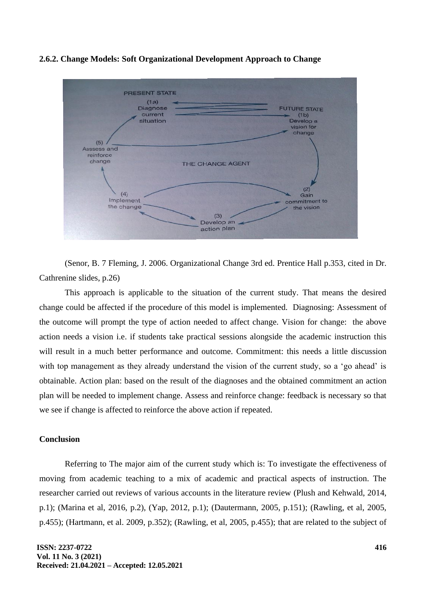### **2.6.2. Change Models: Soft Organizational Development Approach to Change**



(Senor, B. 7 Fleming, J. 2006. Organizational Change 3rd ed. Prentice Hall p.353, cited in Dr. Cathrenine slides, p.26)

This approach is applicable to the situation of the current study. That means the desired change could be affected if the procedure of this model is implemented. Diagnosing: Assessment of the outcome will prompt the type of action needed to affect change. Vision for change: the above action needs a vision i.e. if students take practical sessions alongside the academic instruction this will result in a much better performance and outcome. Commitment: this needs a little discussion with top management as they already understand the vision of the current study, so a 'go ahead' is obtainable. Action plan: based on the result of the diagnoses and the obtained commitment an action plan will be needed to implement change. Assess and reinforce change: feedback is necessary so that we see if change is affected to reinforce the above action if repeated.

# **Conclusion**

Referring to The major aim of the current study which is: To investigate the effectiveness of moving from academic teaching to a mix of academic and practical aspects of instruction. The researcher carried out reviews of various accounts in the literature review (Plush and Kehwald, 2014, p.1); (Marina et al, 2016, p.2), (Yap, 2012, p.1); (Dautermann, 2005, p.151); (Rawling, et al, 2005, p.455); (Hartmann, et al. 2009, p.352); (Rawling, et al, 2005, p.455); that are related to the subject of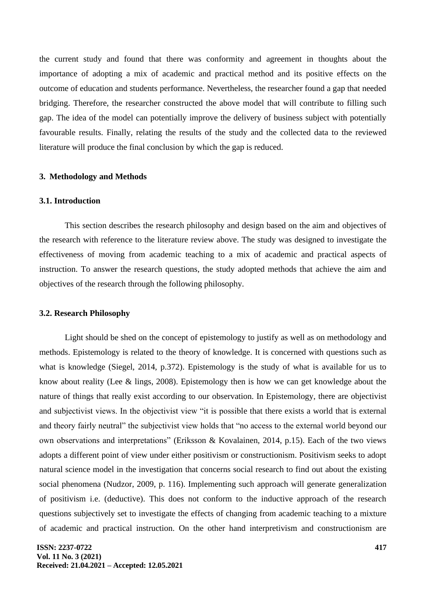the current study and found that there was conformity and agreement in thoughts about the importance of adopting a mix of academic and practical method and its positive effects on the outcome of education and students performance. Nevertheless, the researcher found a gap that needed bridging. Therefore, the researcher constructed the above model that will contribute to filling such gap. The idea of the model can potentially improve the delivery of business subject with potentially favourable results. Finally, relating the results of the study and the collected data to the reviewed literature will produce the final conclusion by which the gap is reduced.

# **3. Methodology and Methods**

# **3.1. Introduction**

This section describes the research philosophy and design based on the aim and objectives of the research with reference to the literature review above. The study was designed to investigate the effectiveness of moving from academic teaching to a mix of academic and practical aspects of instruction. To answer the research questions, the study adopted methods that achieve the aim and objectives of the research through the following philosophy.

# **3.2. Research Philosophy**

Light should be shed on the concept of epistemology to justify as well as on methodology and methods. Epistemology is related to the theory of knowledge. It is concerned with questions such as what is knowledge (Siegel, 2014, p.372). Epistemology is the study of what is available for us to know about reality (Lee & lings, 2008). Epistemology then is how we can get knowledge about the nature of things that really exist according to our observation. In Epistemology, there are objectivist and subjectivist views. In the objectivist view "it is possible that there exists a world that is external and theory fairly neutral" the subjectivist view holds that "no access to the external world beyond our own observations and interpretations" (Eriksson & Kovalainen, 2014, p.15). Each of the two views adopts a different point of view under either positivism or constructionism. Positivism seeks to adopt natural science model in the investigation that concerns social research to find out about the existing social phenomena (Nudzor, 2009, p. 116). Implementing such approach will generate generalization of positivism i.e. (deductive). This does not conform to the inductive approach of the research questions subjectively set to investigate the effects of changing from academic teaching to a mixture of academic and practical instruction. On the other hand interpretivism and constructionism are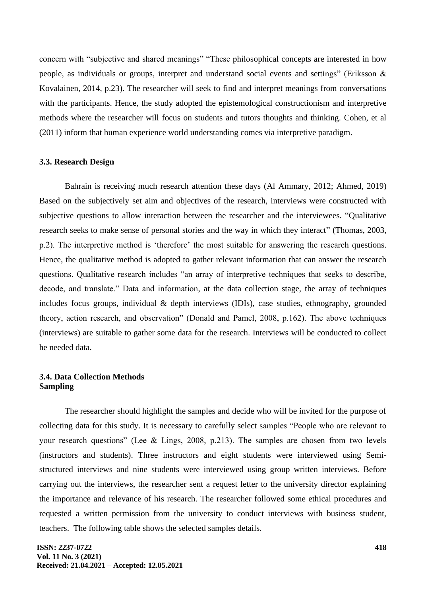concern with "subjective and shared meanings" "These philosophical concepts are interested in how people, as individuals or groups, interpret and understand social events and settings" (Eriksson & Kovalainen, 2014, p.23). The researcher will seek to find and interpret meanings from conversations with the participants. Hence, the study adopted the epistemological constructionism and interpretive methods where the researcher will focus on students and tutors thoughts and thinking. Cohen, et al (2011) inform that human experience world understanding comes via interpretive paradigm.

### **3.3. Research Design**

Bahrain is receiving much research attention these days (Al Ammary, 2012; Ahmed, 2019) Based on the subjectively set aim and objectives of the research, interviews were constructed with subjective questions to allow interaction between the researcher and the interviewees. "Qualitative research seeks to make sense of personal stories and the way in which they interact" (Thomas, 2003, p.2). The interpretive method is 'therefore' the most suitable for answering the research questions. Hence, the qualitative method is adopted to gather relevant information that can answer the research questions. Qualitative research includes "an array of interpretive techniques that seeks to describe, decode, and translate." Data and information, at the data collection stage, the array of techniques includes focus groups, individual & depth interviews (IDIs), case studies, ethnography, grounded theory, action research, and observation" (Donald and Pamel, 2008, p.162). The above techniques (interviews) are suitable to gather some data for the research. Interviews will be conducted to collect he needed data.

# **3.4. Data Collection Methods Sampling**

The researcher should highlight the samples and decide who will be invited for the purpose of collecting data for this study. It is necessary to carefully select samples "People who are relevant to your research questions" (Lee & Lings, 2008, p.213). The samples are chosen from two levels (instructors and students). Three instructors and eight students were interviewed using Semistructured interviews and nine students were interviewed using group written interviews. Before carrying out the interviews, the researcher sent a request letter to the university director explaining the importance and relevance of his research. The researcher followed some ethical procedures and requested a written permission from the university to conduct interviews with business student, teachers. The following table shows the selected samples details.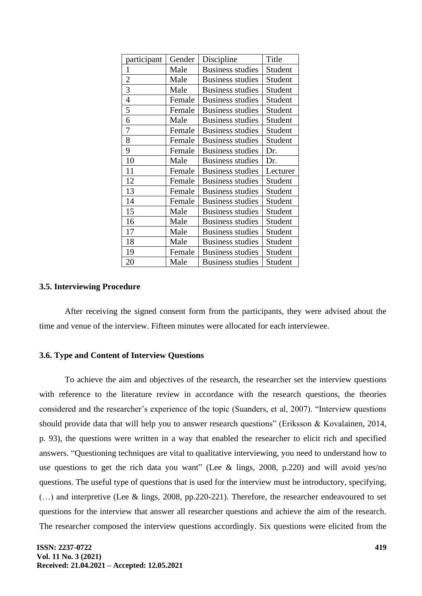| participant    | Gender | Discipline              | Title    |
|----------------|--------|-------------------------|----------|
| 1              | Male   | <b>Business studies</b> | Student  |
| $\overline{2}$ | Male   | <b>Business studies</b> | Student  |
| 3              | Male   | <b>Business studies</b> | Student  |
| $\overline{4}$ | Female | <b>Business studies</b> | Student  |
| 5              | Female | Business studies        | Student  |
| 6              | Male   | <b>Business studies</b> | Student  |
| $\overline{7}$ | Female | <b>Business studies</b> | Student  |
| 8              | Female | <b>Business studies</b> | Student  |
| 9              | Female | <b>Business studies</b> | Dr.      |
| 10             | Male   | <b>Business studies</b> | Dr.      |
| 11             | Female | <b>Business studies</b> | Lecturer |
| 12             | Female | <b>Business studies</b> | Student  |
| 13             | Female | <b>Business studies</b> | Student  |
| 14             | Female | <b>Business studies</b> | Student  |
| 15             | Male   | <b>Business studies</b> | Student  |
| 16             | Male   | <b>Business studies</b> | Student  |
| 17             | Male   | <b>Business studies</b> | Student  |
| 18             | Male   | <b>Business studies</b> | Student  |
| 19             | Female | <b>Business studies</b> | Student  |
| 20             | Male   | <b>Business studies</b> | Student  |

# **3.5. Interviewing Procedure**

After receiving the signed consent form from the participants, they were advised about the time and venue of the interview. Fifteen minutes were allocated for each interviewee.

### **3.6. Type and Content of Interview Questions**

To achieve the aim and objectives of the research, the researcher set the interview questions with reference to the literature review in accordance with the research questions, the theories considered and the researcher's experience of the topic (Suanders, et al, 2007). "Interview questions should provide data that will help you to answer research questions" (Eriksson & Kovalainen, 2014, p. 93), the questions were written in a way that enabled the researcher to elicit rich and specified answers. "Questioning techniques are vital to qualitative interviewing, you need to understand how to use questions to get the rich data you want" (Lee & lings, 2008, p.220) and will avoid yes/no questions. The useful type of questions that is used for the interview must be introductory, specifying, (…) and interpretive (Lee & lings, 2008, pp.220-221). Therefore, the researcher endeavoured to set questions for the interview that answer all researcher questions and achieve the aim of the research. The researcher composed the interview questions accordingly. Six questions were elicited from the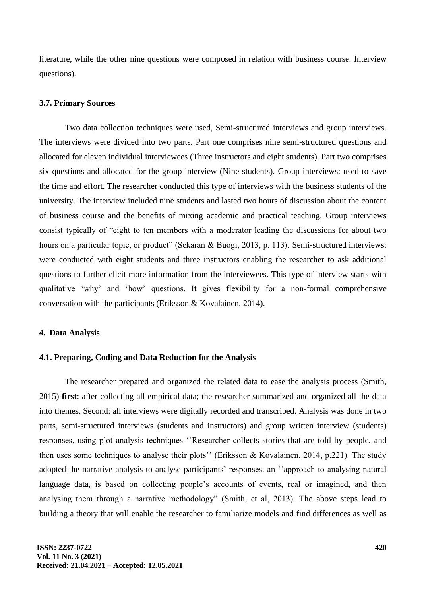literature, while the other nine questions were composed in relation with business course. Interview questions).

### **3.7. Primary Sources**

Two data collection techniques were used, Semi-structured interviews and group interviews. The interviews were divided into two parts. Part one comprises nine semi-structured questions and allocated for eleven individual interviewees (Three instructors and eight students). Part two comprises six questions and allocated for the group interview (Nine students). Group interviews: used to save the time and effort. The researcher conducted this type of interviews with the business students of the university. The interview included nine students and lasted two hours of discussion about the content of business course and the benefits of mixing academic and practical teaching. Group interviews consist typically of "eight to ten members with a moderator leading the discussions for about two hours on a particular topic, or product" (Sekaran & Buogi, 2013, p. 113). Semi-structured interviews: were conducted with eight students and three instructors enabling the researcher to ask additional questions to further elicit more information from the interviewees. This type of interview starts with qualitative 'why' and 'how' questions. It gives flexibility for a non-formal comprehensive conversation with the participants (Eriksson & Kovalainen, 2014).

# **4. Data Analysis**

# **4.1. Preparing, Coding and Data Reduction for the Analysis**

The researcher prepared and organized the related data to ease the analysis process (Smith, 2015) **first**: after collecting all empirical data; the researcher summarized and organized all the data into themes. Second: all interviews were digitally recorded and transcribed. Analysis was done in two parts, semi-structured interviews (students and instructors) and group written interview (students) responses, using plot analysis techniques ''Researcher collects stories that are told by people, and then uses some techniques to analyse their plots'' (Eriksson & Kovalainen, 2014, p.221). The study adopted the narrative analysis to analyse participants' responses. an ''approach to analysing natural language data, is based on collecting people's accounts of events, real or imagined, and then analysing them through a narrative methodology" (Smith, et al, 2013). The above steps lead to building a theory that will enable the researcher to familiarize models and find differences as well as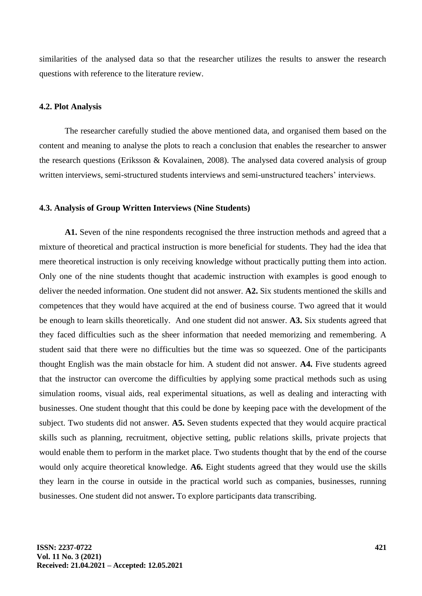similarities of the analysed data so that the researcher utilizes the results to answer the research questions with reference to the literature review.

# **4.2. Plot Analysis**

The researcher carefully studied the above mentioned data, and organised them based on the content and meaning to analyse the plots to reach a conclusion that enables the researcher to answer the research questions (Eriksson & Kovalainen, 2008). The analysed data covered analysis of group written interviews, semi-structured students interviews and semi-unstructured teachers' interviews.

### **4.3. Analysis of Group Written Interviews (Nine Students)**

**A1.** Seven of the nine respondents recognised the three instruction methods and agreed that a mixture of theoretical and practical instruction is more beneficial for students. They had the idea that mere theoretical instruction is only receiving knowledge without practically putting them into action. Only one of the nine students thought that academic instruction with examples is good enough to deliver the needed information. One student did not answer. **A2.** Six students mentioned the skills and competences that they would have acquired at the end of business course. Two agreed that it would be enough to learn skills theoretically. And one student did not answer. **A3.** Six students agreed that they faced difficulties such as the sheer information that needed memorizing and remembering. A student said that there were no difficulties but the time was so squeezed. One of the participants thought English was the main obstacle for him. A student did not answer. **A4.** Five students agreed that the instructor can overcome the difficulties by applying some practical methods such as using simulation rooms, visual aids, real experimental situations, as well as dealing and interacting with businesses. One student thought that this could be done by keeping pace with the development of the subject. Two students did not answer. **A5.** Seven students expected that they would acquire practical skills such as planning, recruitment, objective setting, public relations skills, private projects that would enable them to perform in the market place. Two students thought that by the end of the course would only acquire theoretical knowledge. **A6.** Eight students agreed that they would use the skills they learn in the course in outside in the practical world such as companies, businesses, running businesses. One student did not answer**.** To explore participants data transcribing.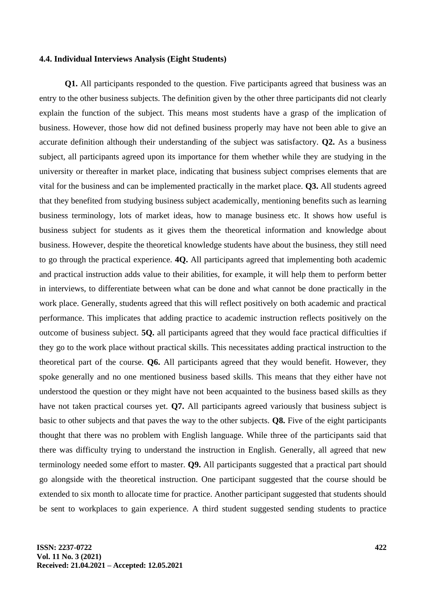#### **4.4. Individual Interviews Analysis (Eight Students)**

**Q1.** All participants responded to the question. Five participants agreed that business was an entry to the other business subjects. The definition given by the other three participants did not clearly explain the function of the subject. This means most students have a grasp of the implication of business. However, those how did not defined business properly may have not been able to give an accurate definition although their understanding of the subject was satisfactory. **Q2.** As a business subject, all participants agreed upon its importance for them whether while they are studying in the university or thereafter in market place, indicating that business subject comprises elements that are vital for the business and can be implemented practically in the market place. **Q3.** All students agreed that they benefited from studying business subject academically, mentioning benefits such as learning business terminology, lots of market ideas, how to manage business etc. It shows how useful is business subject for students as it gives them the theoretical information and knowledge about business. However, despite the theoretical knowledge students have about the business, they still need to go through the practical experience. **4Q.** All participants agreed that implementing both academic and practical instruction adds value to their abilities, for example, it will help them to perform better in interviews, to differentiate between what can be done and what cannot be done practically in the work place. Generally, students agreed that this will reflect positively on both academic and practical performance. This implicates that adding practice to academic instruction reflects positively on the outcome of business subject. **5Q.** all participants agreed that they would face practical difficulties if they go to the work place without practical skills. This necessitates adding practical instruction to the theoretical part of the course. **Q6.** All participants agreed that they would benefit. However, they spoke generally and no one mentioned business based skills. This means that they either have not understood the question or they might have not been acquainted to the business based skills as they have not taken practical courses yet. **Q7.** All participants agreed variously that business subject is basic to other subjects and that paves the way to the other subjects. **Q8.** Five of the eight participants thought that there was no problem with English language. While three of the participants said that there was difficulty trying to understand the instruction in English. Generally, all agreed that new terminology needed some effort to master. **Q9.** All participants suggested that a practical part should go alongside with the theoretical instruction. One participant suggested that the course should be extended to six month to allocate time for practice. Another participant suggested that students should be sent to workplaces to gain experience. A third student suggested sending students to practice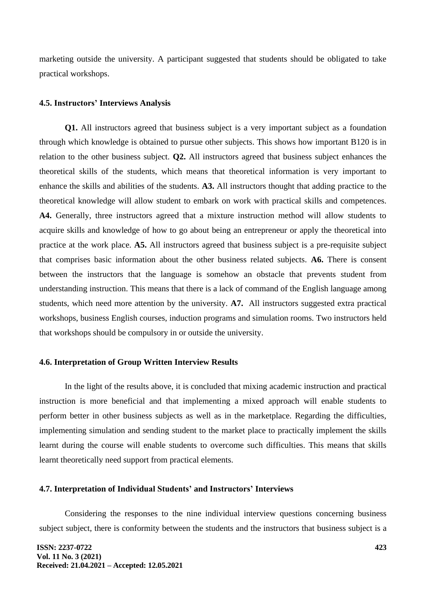marketing outside the university. A participant suggested that students should be obligated to take practical workshops.

#### **4.5. Instructors' Interviews Analysis**

**Q1.** All instructors agreed that business subject is a very important subject as a foundation through which knowledge is obtained to pursue other subjects. This shows how important B120 is in relation to the other business subject. **Q2.** All instructors agreed that business subject enhances the theoretical skills of the students, which means that theoretical information is very important to enhance the skills and abilities of the students. **A3.** All instructors thought that adding practice to the theoretical knowledge will allow student to embark on work with practical skills and competences. **A4.** Generally, three instructors agreed that a mixture instruction method will allow students to acquire skills and knowledge of how to go about being an entrepreneur or apply the theoretical into practice at the work place. **A5.** All instructors agreed that business subject is a pre-requisite subject that comprises basic information about the other business related subjects. **A6.** There is consent between the instructors that the language is somehow an obstacle that prevents student from understanding instruction. This means that there is a lack of command of the English language among students, which need more attention by the university. **A7.** All instructors suggested extra practical workshops, business English courses, induction programs and simulation rooms. Two instructors held that workshops should be compulsory in or outside the university.

# **4.6. Interpretation of Group Written Interview Results**

In the light of the results above, it is concluded that mixing academic instruction and practical instruction is more beneficial and that implementing a mixed approach will enable students to perform better in other business subjects as well as in the marketplace. Regarding the difficulties, implementing simulation and sending student to the market place to practically implement the skills learnt during the course will enable students to overcome such difficulties. This means that skills learnt theoretically need support from practical elements.

# **4.7. Interpretation of Individual Students' and Instructors' Interviews**

Considering the responses to the nine individual interview questions concerning business subject subject, there is conformity between the students and the instructors that business subject is a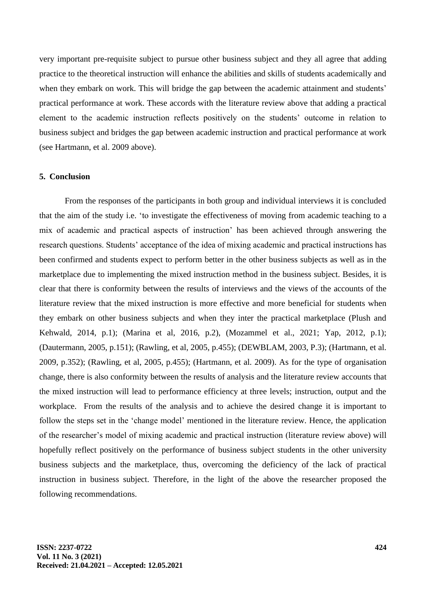very important pre-requisite subject to pursue other business subject and they all agree that adding practice to the theoretical instruction will enhance the abilities and skills of students academically and when they embark on work. This will bridge the gap between the academic attainment and students' practical performance at work. These accords with the literature review above that adding a practical element to the academic instruction reflects positively on the students' outcome in relation to business subject and bridges the gap between academic instruction and practical performance at work (see Hartmann, et al. 2009 above).

### **5. Conclusion**

From the responses of the participants in both group and individual interviews it is concluded that the aim of the study i.e. 'to investigate the effectiveness of moving from academic teaching to a mix of academic and practical aspects of instruction' has been achieved through answering the research questions. Students' acceptance of the idea of mixing academic and practical instructions has been confirmed and students expect to perform better in the other business subjects as well as in the marketplace due to implementing the mixed instruction method in the business subject. Besides, it is clear that there is conformity between the results of interviews and the views of the accounts of the literature review that the mixed instruction is more effective and more beneficial for students when they embark on other business subjects and when they inter the practical marketplace (Plush and Kehwald, 2014, p.1); (Marina et al, 2016, p.2), (Mozammel et al., 2021; Yap, 2012, p.1); (Dautermann, 2005, p.151); (Rawling, et al, 2005, p.455); (DEWBLAM, 2003, P.3); (Hartmann, et al. 2009, p.352); (Rawling, et al, 2005, p.455); (Hartmann, et al. 2009). As for the type of organisation change, there is also conformity between the results of analysis and the literature review accounts that the mixed instruction will lead to performance efficiency at three levels; instruction, output and the workplace. From the results of the analysis and to achieve the desired change it is important to follow the steps set in the 'change model' mentioned in the literature review. Hence, the application of the researcher's model of mixing academic and practical instruction (literature review above) will hopefully reflect positively on the performance of business subject students in the other university business subjects and the marketplace, thus, overcoming the deficiency of the lack of practical instruction in business subject. Therefore, in the light of the above the researcher proposed the following recommendations.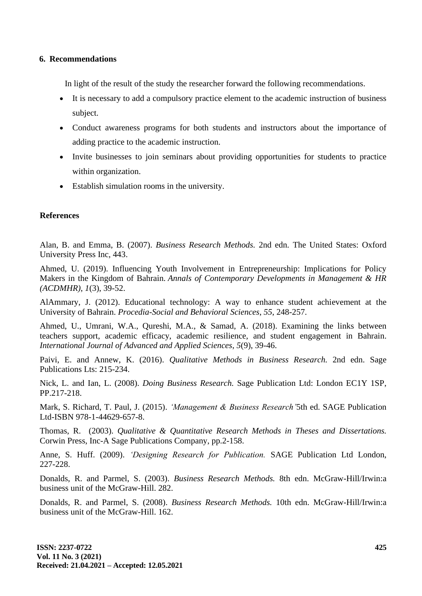# **6. Recommendations**

In light of the result of the study the researcher forward the following recommendations.

- It is necessary to add a compulsory practice element to the academic instruction of business subject.
- Conduct awareness programs for both students and instructors about the importance of adding practice to the academic instruction.
- Invite businesses to join seminars about providing opportunities for students to practice within organization.
- Establish simulation rooms in the university.

# **References**

Alan, B. and Emma, B. (2007). *Business Research Methods.* 2nd edn. The United States: Oxford University Press Inc, 443.

Ahmed, U. (2019). Influencing Youth Involvement in Entrepreneurship: Implications for Policy Makers in the Kingdom of Bahrain. *Annals of Contemporary Developments in Management & HR (ACDMHR)*, *1*(3), 39-52.

AlAmmary, J. (2012). Educational technology: A way to enhance student achievement at the University of Bahrain. *Procedia-Social and Behavioral Sciences*, *55*, 248-257.

Ahmed, U., Umrani, W.A., Qureshi, M.A., & Samad, A. (2018). Examining the links between teachers support, academic efficacy, academic resilience, and student engagement in Bahrain. *International Journal of Advanced and Applied Sciences*, *5*(9), 39-46.

Paivi, E. and Annew, K. (2016). *Qualitative Methods in Business Research.* 2nd edn. Sage Publications Lts: 215-234.

Nick, L. and Ian, L. (2008). *Doing Business Research.* Sage Publication Ltd: London EC1Y 1SP, PP.217-218.

Mark, S. Richard, T. Paul, J. (2015). *'Management & Business Research'*5th ed. SAGE Publication Ltd-ISBN 978-1-44629-657-8.

Thomas, R. (2003). *Qualitative & Quantitative Research Methods in Theses and Dissertations.* Corwin Press, Inc-A Sage Publications Company, pp.2-158.

Anne, S. Huff. (2009). *'Designing Research for Publication.* SAGE Publication Ltd London, 227-228.

Donalds, R. and Parmel, S. (2003). *Business Research Methods.* 8th edn. McGraw-Hill/Irwin:a business unit of the McGraw-Hill. 282.

Donalds, R. and Parmel, S. (2008). *Business Research Methods.* 10th edn. McGraw-Hill/Irwin:a business unit of the McGraw-Hill. 162.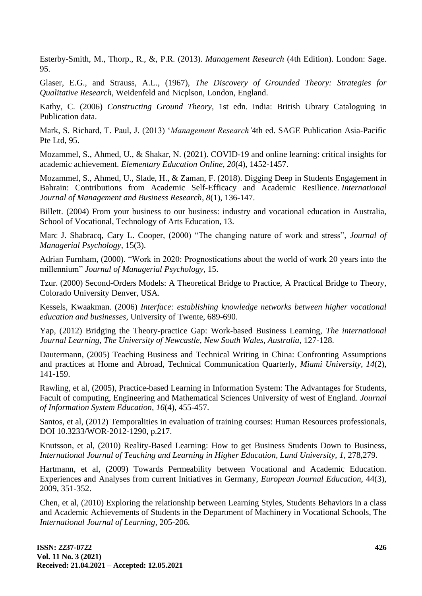Esterby-Smith, M., Thorp., R., &, P.R. (2013). *Management Research* (4th Edition). London: Sage. 95.

Glaser, E.G., and Strauss, A.L., (1967), *The Discovery of Grounded Theory: Strategies for Qualitative Research,* Weidenfeld and Nicplson, London, England.

Kathy, C. (2006) *Constructing Ground Theory,* 1st edn. India: British Ubrary Cataloguing in Publication data.

Mark, S. Richard, T. Paul, J. (2013) '*Management Research'*4th ed. SAGE Publication Asia-Pacific Pte Ltd, 95.

Mozammel, S., Ahmed, U., & Shakar, N. (2021). COVID-19 and online learning: critical insights for academic achievement. *Elementary Education Online*, *20*(4), 1452-1457.

Mozammel, S., Ahmed, U., Slade, H., & Zaman, F. (2018). Digging Deep in Students Engagement in Bahrain: Contributions from Academic Self-Efficacy and Academic Resilience. *International Journal of Management and Business Research*, *8*(1), 136-147.

Billett. (2004) From your business to our business: industry and vocational education in Australia, School of Vocational, Technology of Arts Education, 13.

Marc J. Shabracq, Cary L. Cooper, (2000) "The changing nature of work and stress", *Journal of Managerial Psychology,* 15(3).

Adrian Furnham, (2000). "Work in 2020: Prognostications about the world of work 20 years into the millennium" *Journal of Managerial Psychology,* 15.

Tzur. (2000) Second-Orders Models: A Theoretical Bridge to Practice, A Practical Bridge to Theory, Colorado University Denver, USA.

Kessels, Kwaakman. (2006) *Interface: establishing knowledge networks between higher vocational education and businesses,* University of Twente, 689-690.

Yap, (2012) Bridging the Theory-practice Gap: Work-based Business Learning, *The international Journal Learning, The University of Newcastle, New South Wales, Australia,* 127-128.

Dautermann, (2005) Teaching Business and Technical Writing in China: Confronting Assumptions and practices at Home and Abroad, Technical Communication Quarterly, *Miami University, 14*(2), 141-159.

Rawling, et al, (2005), Practice-based Learning in Information System: The Advantages for Students, Facult of computing, Engineering and Mathematical Sciences University of west of England. *Journal of Information System Education, 16*(4), 455-457.

Santos, et al, (2012) Temporalities in evaluation of training courses: Human Resources professionals, DOI 10.3233/WOR-2012-1290, p.217.

Knutsson, et al, (2010) Reality-Based Learning: How to get Business Students Down to Business, *International Journal of Teaching and Learning in Higher Education, Lund University, 1,* 278,279.

Hartmann, et al, (2009) Towards Permeability between Vocational and Academic Education. Experiences and Analyses from current Initiatives in Germany, *European Journal Education,* 44(3), 2009, 351-352.

Chen, et al, (2010) Exploring the relationship between Learning Styles, Students Behaviors in a class and Academic Achievements of Students in the Department of Machinery in Vocational Schools, The *International Journal of Learning,* 205-206.